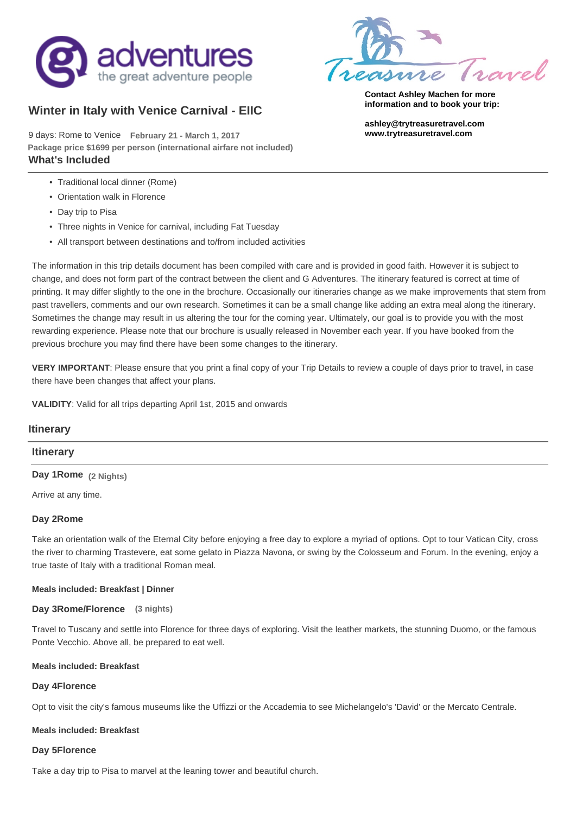

# **Winter in Italy with Venice Carnival - EIIC**

9 days: Rome to Venice **February 21 - March 1, 2017 [www.trytreasuretravel.com](http://www.trytreasuretravel.com/venice-carnevale) What's Included Package price \$1699 per person (international airfare not included)**

- Traditional local dinner (Rome)
- Orientation walk in Florence
- Day trip to Pisa
- Three nights in Venice for carnival, including Fat Tuesday
- All transport between destinations and to/from included activities



**Contact Ashley Machen for more information and to book your trip:**

**[ashley@trytreasuretravel.com](mailto:ashley@trytreasuretravel.com)**

The information in this trip details document has been compiled with care and is provided in good faith. However it is subject to change, and does not form part of the contract between the client and G Adventures. The itinerary featured is correct at time of printing. It may differ slightly to the one in the brochure. Occasionally our itineraries change as we make improvements that stem from past travellers, comments and our own research. Sometimes it can be a small change like adding an extra meal along the itinerary. Sometimes the change may result in us altering the tour for the coming year. Ultimately, our goal is to provide you with the most rewarding experience. Please note that our brochure is usually released in November each year. If you have booked from the previous brochure you may find there have been some changes to the itinerary.

**VERY IMPORTANT**: Please ensure that you print a final copy of your Trip Details to review a couple of days prior to travel, in case there have been changes that affect your plans.

**VALIDITY**: Valid for all trips departing April 1st, 2015 and onwards

### **Itinerary**

#### **Itinerary**

**Day 1Rome (2 Nights)**

Arrive at any time.

#### **Day 2Rome**

Take an orientation walk of the Eternal City before enjoying a free day to explore a myriad of options. Opt to tour Vatican City, cross the river to charming Trastevere, eat some gelato in Piazza Navona, or swing by the Colosseum and Forum. In the evening, enjoy a true taste of Italy with a traditional Roman meal.

#### **Meals included: Breakfast | Dinner**

#### **Day 3Rome/Florence (3 nights)**

Travel to Tuscany and settle into Florence for three days of exploring. Visit the leather markets, the stunning Duomo, or the famous Ponte Vecchio. Above all, be prepared to eat well.

#### **Meals included: Breakfast**

#### **Day 4Florence**

Opt to visit the city's famous museums like the Uffizzi or the Accademia to see Michelangelo's 'David' or the Mercato Centrale.

#### **Meals included: Breakfast**

#### **Day 5Florence**

Take a day trip to Pisa to marvel at the leaning tower and beautiful church.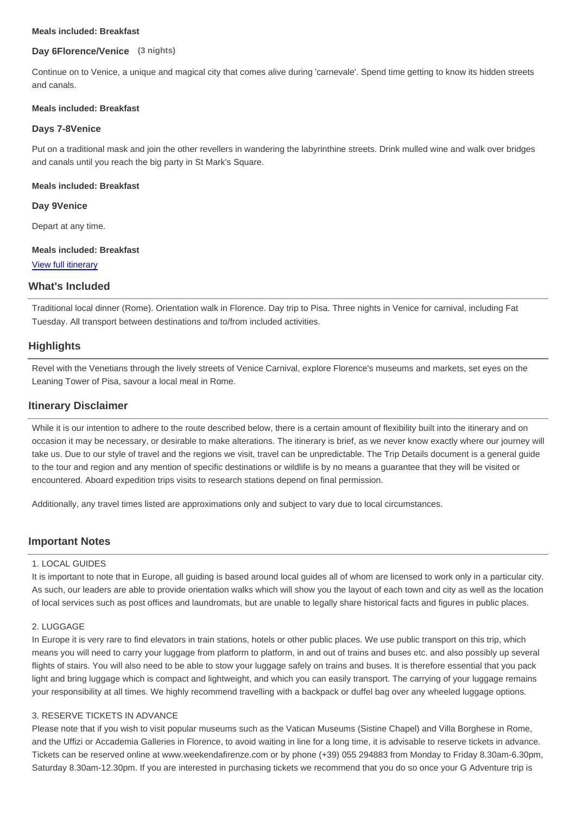#### **Meals included: Breakfast**

#### **Day 6Florence/Venice (3 nights)**

Continue on to Venice, a unique and magical city that comes alive during 'carnevale'. Spend time getting to know its hidden streets and canals.

#### **Meals included: Breakfast**

#### **Days 7-8Venice**

Put on a traditional mask and join the other revellers in wandering the labyrinthine streets. Drink mulled wine and walk over bridges and canals until you reach the big party in St Mark's Square.

#### **Meals included: Breakfast**

**Day 9Venice**

Depart at any time.

#### **Meals included: Breakfast**

View full itinerary

#### **What's Included**

Traditional local dinner (Rome). Orientation walk in Florence. Day trip to Pisa. Three nights in Venice for carnival, including Fat Tuesday. All transport between destinations and to/from included activities.

#### **Highlights**

Revel with the Venetians through the lively streets of Venice Carnival, explore Florence's museums and markets, set eyes on the Leaning Tower of Pisa, savour a local meal in Rome.

#### **Itinerary Disclaimer**

While it is our intention to adhere to the route described below, there is a certain amount of flexibility built into the itinerary and on occasion it may be necessary, or desirable to make alterations. The itinerary is brief, as we never know exactly where our journey will take us. Due to our style of travel and the regions we visit, travel can be unpredictable. The Trip Details document is a general guide to the tour and region and any mention of specific destinations or wildlife is by no means a guarantee that they will be visited or encountered. Aboard expedition trips visits to research stations depend on final permission.

Additionally, any travel times listed are approximations only and subject to vary due to local circumstances.

#### **Important Notes**

#### 1. LOCAL GUIDES

It is important to note that in Europe, all guiding is based around local guides all of whom are licensed to work only in a particular city. As such, our leaders are able to provide orientation walks which will show you the layout of each town and city as well as the location of local services such as post offices and laundromats, but are unable to legally share historical facts and figures in public places.

#### 2. LUGGAGE

In Europe it is very rare to find elevators in train stations, hotels or other public places. We use public transport on this trip, which means you will need to carry your luggage from platform to platform, in and out of trains and buses etc. and also possibly up several flights of stairs. You will also need to be able to stow your luggage safely on trains and buses. It is therefore essential that you pack light and bring luggage which is compact and lightweight, and which you can easily transport. The carrying of your luggage remains your responsibility at all times. We highly recommend travelling with a backpack or duffel bag over any wheeled luggage options.

#### 3. RESERVE TICKETS IN ADVANCE

Please note that if you wish to visit popular museums such as the Vatican Museums (Sistine Chapel) and Villa Borghese in Rome, and the Uffizi or Accademia Galleries in Florence, to avoid waiting in line for a long time, it is advisable to reserve tickets in advance. Tickets can be reserved online at www.weekendafirenze.com or by phone (+39) 055 294883 from Monday to Friday 8.30am-6.30pm, Saturday 8.30am-12.30pm. If you are interested in purchasing tickets we recommend that you do so once your G Adventure trip is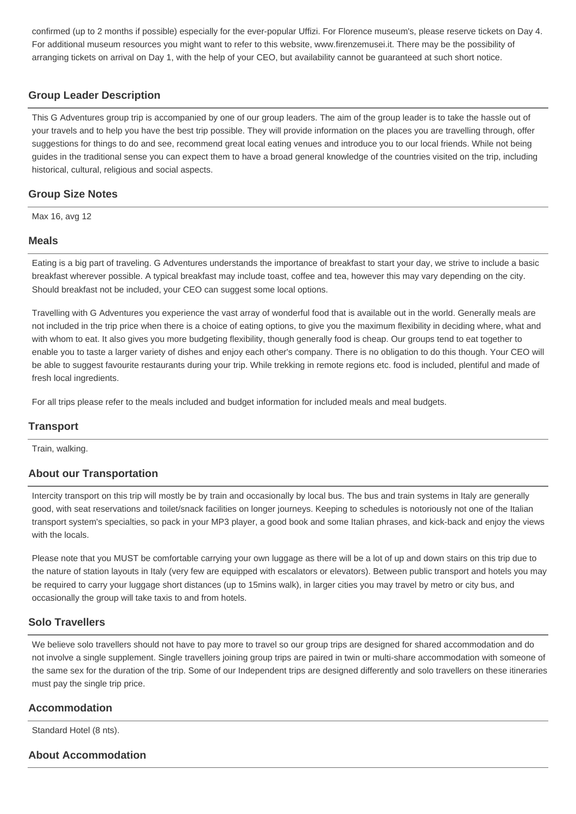confirmed (up to 2 months if possible) especially for the ever-popular Uffizi. For Florence museum's, please reserve tickets on Day 4. For additional museum resources you might want to refer to this website, www.firenzemusei.it. There may be the possibility of arranging tickets on arrival on Day 1, with the help of your CEO, but availability cannot be guaranteed at such short notice.

# **Group Leader Description**

This G Adventures group trip is accompanied by one of our group leaders. The aim of the group leader is to take the hassle out of your travels and to help you have the best trip possible. They will provide information on the places you are travelling through, offer suggestions for things to do and see, recommend great local eating venues and introduce you to our local friends. While not being guides in the traditional sense you can expect them to have a broad general knowledge of the countries visited on the trip, including historical, cultural, religious and social aspects.

# **Group Size Notes**

Max 16, avg 12

### **Meals**

Eating is a big part of traveling. G Adventures understands the importance of breakfast to start your day, we strive to include a basic breakfast wherever possible. A typical breakfast may include toast, coffee and tea, however this may vary depending on the city. Should breakfast not be included, your CEO can suggest some local options.

Travelling with G Adventures you experience the vast array of wonderful food that is available out in the world. Generally meals are not included in the trip price when there is a choice of eating options, to give you the maximum flexibility in deciding where, what and with whom to eat. It also gives you more budgeting flexibility, though generally food is cheap. Our groups tend to eat together to enable you to taste a larger variety of dishes and enjoy each other's company. There is no obligation to do this though. Your CEO will be able to suggest favourite restaurants during your trip. While trekking in remote regions etc. food is included, plentiful and made of fresh local ingredients.

For all trips please refer to the meals included and budget information for included meals and meal budgets.

### **Transport**

Train, walking.

### **About our Transportation**

Intercity transport on this trip will mostly be by train and occasionally by local bus. The bus and train systems in Italy are generally good, with seat reservations and toilet/snack facilities on longer journeys. Keeping to schedules is notoriously not one of the Italian transport system's specialties, so pack in your MP3 player, a good book and some Italian phrases, and kick-back and enjoy the views with the locals.

Please note that you MUST be comfortable carrying your own luggage as there will be a lot of up and down stairs on this trip due to the nature of station layouts in Italy (very few are equipped with escalators or elevators). Between public transport and hotels you may be required to carry your luggage short distances (up to 15mins walk), in larger cities you may travel by metro or city bus, and occasionally the group will take taxis to and from hotels.

### **Solo Travellers**

We believe solo travellers should not have to pay more to travel so our group trips are designed for shared accommodation and do not involve a single supplement. Single travellers joining group trips are paired in twin or multi-share accommodation with someone of the same sex for the duration of the trip. Some of our Independent trips are designed differently and solo travellers on these itineraries must pay the single trip price.

### **Accommodation**

Standard Hotel (8 nts).

### **About Accommodation**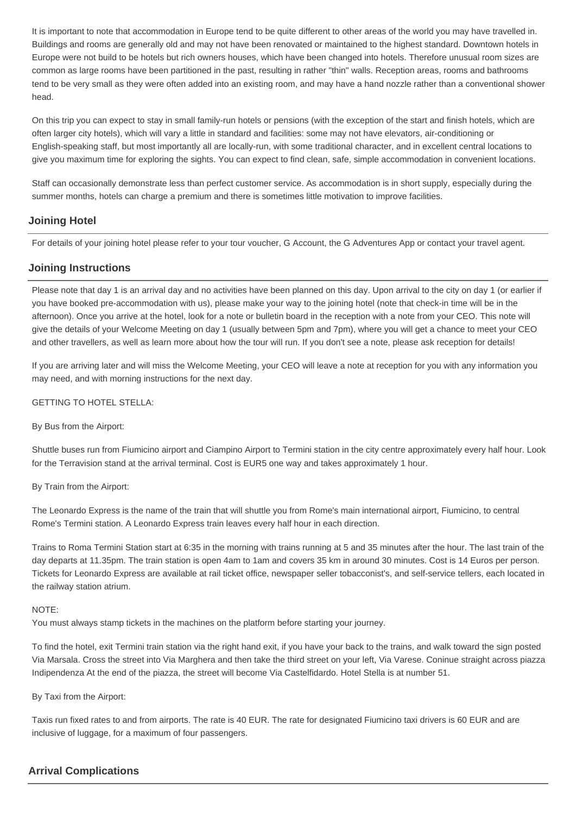It is important to note that accommodation in Europe tend to be quite different to other areas of the world you may have travelled in. Buildings and rooms are generally old and may not have been renovated or maintained to the highest standard. Downtown hotels in Europe were not build to be hotels but rich owners houses, which have been changed into hotels. Therefore unusual room sizes are common as large rooms have been partitioned in the past, resulting in rather "thin" walls. Reception areas, rooms and bathrooms tend to be very small as they were often added into an existing room, and may have a hand nozzle rather than a conventional shower head.

On this trip you can expect to stay in small family-run hotels or pensions (with the exception of the start and finish hotels, which are often larger city hotels), which will vary a little in standard and facilities: some may not have elevators, air-conditioning or English-speaking staff, but most importantly all are locally-run, with some traditional character, and in excellent central locations to give you maximum time for exploring the sights. You can expect to find clean, safe, simple accommodation in convenient locations.

Staff can occasionally demonstrate less than perfect customer service. As accommodation is in short supply, especially during the summer months, hotels can charge a premium and there is sometimes little motivation to improve facilities.

## **Joining Hotel**

For details of your joining hotel please refer to your tour voucher, G Account, the G Adventures App or contact your travel agent.

## **Joining Instructions**

Please note that day 1 is an arrival day and no activities have been planned on this day. Upon arrival to the city on day 1 (or earlier if you have booked pre-accommodation with us), please make your way to the joining hotel (note that check-in time will be in the afternoon). Once you arrive at the hotel, look for a note or bulletin board in the reception with a note from your CEO. This note will give the details of your Welcome Meeting on day 1 (usually between 5pm and 7pm), where you will get a chance to meet your CEO and other travellers, as well as learn more about how the tour will run. If you don't see a note, please ask reception for details!

If you are arriving later and will miss the Welcome Meeting, your CEO will leave a note at reception for you with any information you may need, and with morning instructions for the next day.

GETTING TO HOTEL STELLA:

By Bus from the Airport:

Shuttle buses run from Fiumicino airport and Ciampino Airport to Termini station in the city centre approximately every half hour. Look for the Terravision stand at the arrival terminal. Cost is EUR5 one way and takes approximately 1 hour.

By Train from the Airport:

The Leonardo Express is the name of the train that will shuttle you from Rome's main international airport, Fiumicino, to central Rome's Termini station. A Leonardo Express train leaves every half hour in each direction.

Trains to Roma Termini Station start at 6:35 in the morning with trains running at 5 and 35 minutes after the hour. The last train of the day departs at 11.35pm. The train station is open 4am to 1am and covers 35 km in around 30 minutes. Cost is 14 Euros per person. Tickets for Leonardo Express are available at rail ticket office, newspaper seller tobacconist's, and self-service tellers, each located in the railway station atrium.

#### NOTE:

You must always stamp tickets in the machines on the platform before starting your journey.

To find the hotel, exit Termini train station via the right hand exit, if you have your back to the trains, and walk toward the sign posted Via Marsala. Cross the street into Via Marghera and then take the third street on your left, Via Varese. Coninue straight across piazza Indipendenza At the end of the piazza, the street will become Via Castelfidardo. Hotel Stella is at number 51.

By Taxi from the Airport:

Taxis run fixed rates to and from airports. The rate is 40 EUR. The rate for designated Fiumicino taxi drivers is 60 EUR and are inclusive of luggage, for a maximum of four passengers.

### **Arrival Complications**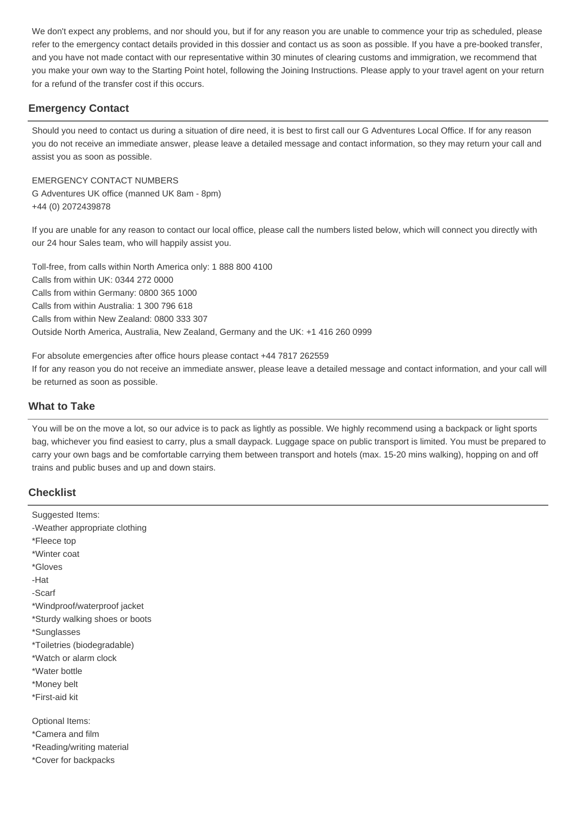We don't expect any problems, and nor should you, but if for any reason you are unable to commence your trip as scheduled, please refer to the emergency contact details provided in this dossier and contact us as soon as possible. If you have a pre-booked transfer, and you have not made contact with our representative within 30 minutes of clearing customs and immigration, we recommend that you make your own way to the Starting Point hotel, following the Joining Instructions. Please apply to your travel agent on your return for a refund of the transfer cost if this occurs.

# **Emergency Contact**

Should you need to contact us during a situation of dire need, it is best to first call our G Adventures Local Office. If for any reason you do not receive an immediate answer, please leave a detailed message and contact information, so they may return your call and assist you as soon as possible.

EMERGENCY CONTACT NUMBERS G Adventures UK office (manned UK 8am - 8pm) +44 (0) 2072439878

If you are unable for any reason to contact our local office, please call the numbers listed below, which will connect you directly with our 24 hour Sales team, who will happily assist you.

Toll-free, from calls within North America only: 1 888 800 4100 Calls from within UK: 0344 272 0000 Calls from within Germany: 0800 365 1000 Calls from within Australia: 1 300 796 618 Calls from within New Zealand: 0800 333 307 Outside North America, Australia, New Zealand, Germany and the UK: +1 416 260 0999

For absolute emergencies after office hours please contact +44 7817 262559 If for any reason you do not receive an immediate answer, please leave a detailed message and contact information, and your call will be returned as soon as possible.

# **What to Take**

You will be on the move a lot, so our advice is to pack as lightly as possible. We highly recommend using a backpack or light sports bag, whichever you find easiest to carry, plus a small daypack. Luggage space on public transport is limited. You must be prepared to carry your own bags and be comfortable carrying them between transport and hotels (max. 15-20 mins walking), hopping on and off trains and public buses and up and down stairs.

# **Checklist**

Suggested Items: -Weather appropriate clothing \*Fleece top \*Winter coat \*Gloves -Hat -Scarf \*Windproof/waterproof jacket \*Sturdy walking shoes or boots \*Sunglasses \*Toiletries (biodegradable) \*Watch or alarm clock \*Water bottle \*Money belt \*First-aid kit Optional Items: \*Camera and film \*Reading/writing material \*Cover for backpacks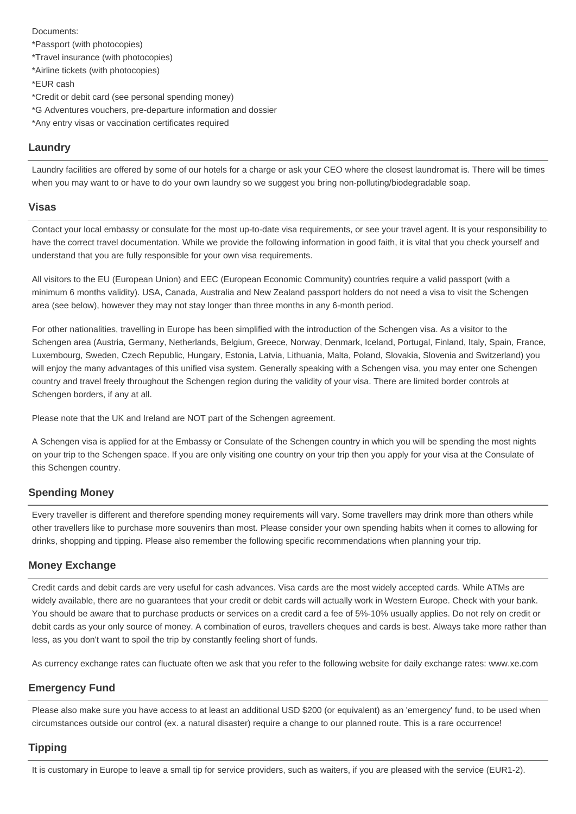Documents: \*Passport (with photocopies) \*Travel insurance (with photocopies) \*Airline tickets (with photocopies) \*EUR cash \*Credit or debit card (see personal spending money) \*G Adventures vouchers, pre-departure information and dossier \*Any entry visas or vaccination certificates required

# **Laundry**

Laundry facilities are offered by some of our hotels for a charge or ask your CEO where the closest laundromat is. There will be times when you may want to or have to do your own laundry so we suggest you bring non-polluting/biodegradable soap.

### **Visas**

Contact your local embassy or consulate for the most up-to-date visa requirements, or see your travel agent. It is your responsibility to have the correct travel documentation. While we provide the following information in good faith, it is vital that you check yourself and understand that you are fully responsible for your own visa requirements.

All visitors to the EU (European Union) and EEC (European Economic Community) countries require a valid passport (with a minimum 6 months validity). USA, Canada, Australia and New Zealand passport holders do not need a visa to visit the Schengen area (see below), however they may not stay longer than three months in any 6-month period.

For other nationalities, travelling in Europe has been simplified with the introduction of the Schengen visa. As a visitor to the Schengen area (Austria, Germany, Netherlands, Belgium, Greece, Norway, Denmark, Iceland, Portugal, Finland, Italy, Spain, France, Luxembourg, Sweden, Czech Republic, Hungary, Estonia, Latvia, Lithuania, Malta, Poland, Slovakia, Slovenia and Switzerland) you will enjoy the many advantages of this unified visa system. Generally speaking with a Schengen visa, you may enter one Schengen country and travel freely throughout the Schengen region during the validity of your visa. There are limited border controls at Schengen borders, if any at all.

Please note that the UK and Ireland are NOT part of the Schengen agreement.

A Schengen visa is applied for at the Embassy or Consulate of the Schengen country in which you will be spending the most nights on your trip to the Schengen space. If you are only visiting one country on your trip then you apply for your visa at the Consulate of this Schengen country.

# **Spending Money**

Every traveller is different and therefore spending money requirements will vary. Some travellers may drink more than others while other travellers like to purchase more souvenirs than most. Please consider your own spending habits when it comes to allowing for drinks, shopping and tipping. Please also remember the following specific recommendations when planning your trip.

# **Money Exchange**

Credit cards and debit cards are very useful for cash advances. Visa cards are the most widely accepted cards. While ATMs are widely available, there are no guarantees that your credit or debit cards will actually work in Western Europe. Check with your bank. You should be aware that to purchase products or services on a credit card a fee of 5%-10% usually applies. Do not rely on credit or debit cards as your only source of money. A combination of euros, travellers cheques and cards is best. Always take more rather than less, as you don't want to spoil the trip by constantly feeling short of funds.

As currency exchange rates can fluctuate often we ask that you refer to the following website for daily exchange rates: www.xe.com

# **Emergency Fund**

Please also make sure you have access to at least an additional USD \$200 (or equivalent) as an 'emergency' fund, to be used when circumstances outside our control (ex. a natural disaster) require a change to our planned route. This is a rare occurrence!

### **Tipping**

It is customary in Europe to leave a small tip for service providers, such as waiters, if you are pleased with the service (EUR1-2).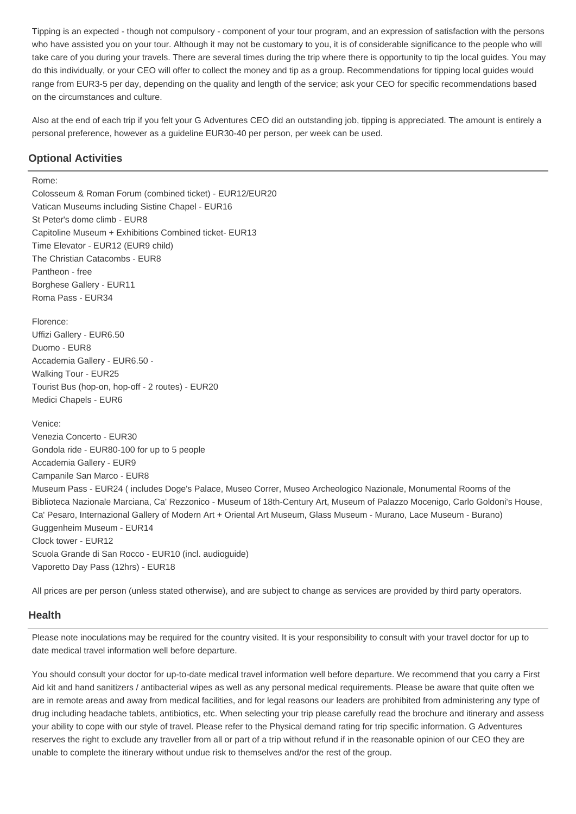Tipping is an expected - though not compulsory - component of your tour program, and an expression of satisfaction with the persons who have assisted you on your tour. Although it may not be customary to you, it is of considerable significance to the people who will take care of you during your travels. There are several times during the trip where there is opportunity to tip the local guides. You may do this individually, or your CEO will offer to collect the money and tip as a group. Recommendations for tipping local guides would range from EUR3-5 per day, depending on the quality and length of the service; ask your CEO for specific recommendations based on the circumstances and culture.

Also at the end of each trip if you felt your G Adventures CEO did an outstanding job, tipping is appreciated. The amount is entirely a personal preference, however as a guideline EUR30-40 per person, per week can be used.

# **Optional Activities**

#### Rome:

Colosseum & Roman Forum (combined ticket) - EUR12/EUR20 Vatican Museums including Sistine Chapel - EUR16 St Peter's dome climb - EUR8 Capitoline Museum + Exhibitions Combined ticket- EUR13 Time Elevator - EUR12 (EUR9 child) The Christian Catacombs - EUR8 Pantheon - free Borghese Gallery - EUR11 Roma Pass - EUR34

Florence: Uffizi Gallery - EUR6.50 Duomo - EUR8 Accademia Gallery - EUR6.50 - Walking Tour - EUR25 Tourist Bus (hop-on, hop-off - 2 routes) - EUR20 Medici Chapels - EUR6

Venice: Venezia Concerto - EUR30 Gondola ride - EUR80-100 for up to 5 people Accademia Gallery - EUR9 Campanile San Marco - EUR8 Museum Pass - EUR24 ( includes Doge's Palace, Museo Correr, Museo Archeologico Nazionale, Monumental Rooms of the Biblioteca Nazionale Marciana, Ca' Rezzonico - Museum of 18th-Century Art, Museum of Palazzo Mocenigo, Carlo Goldoni's House, Ca' Pesaro, Internazional Gallery of Modern Art + Oriental Art Museum, Glass Museum - Murano, Lace Museum - Burano) Guggenheim Museum - EUR14 Clock tower - EUR12 Scuola Grande di San Rocco - EUR10 (incl. audioguide) Vaporetto Day Pass (12hrs) - EUR18

All prices are per person (unless stated otherwise), and are subject to change as services are provided by third party operators.

### **Health**

Please note inoculations may be required for the country visited. It is your responsibility to consult with your travel doctor for up to date medical travel information well before departure.

You should consult your doctor for up-to-date medical travel information well before departure. We recommend that you carry a First Aid kit and hand sanitizers / antibacterial wipes as well as any personal medical requirements. Please be aware that quite often we are in remote areas and away from medical facilities, and for legal reasons our leaders are prohibited from administering any type of drug including headache tablets, antibiotics, etc. When selecting your trip please carefully read the brochure and itinerary and assess your ability to cope with our style of travel. Please refer to the Physical demand rating for trip specific information. G Adventures reserves the right to exclude any traveller from all or part of a trip without refund if in the reasonable opinion of our CEO they are unable to complete the itinerary without undue risk to themselves and/or the rest of the group.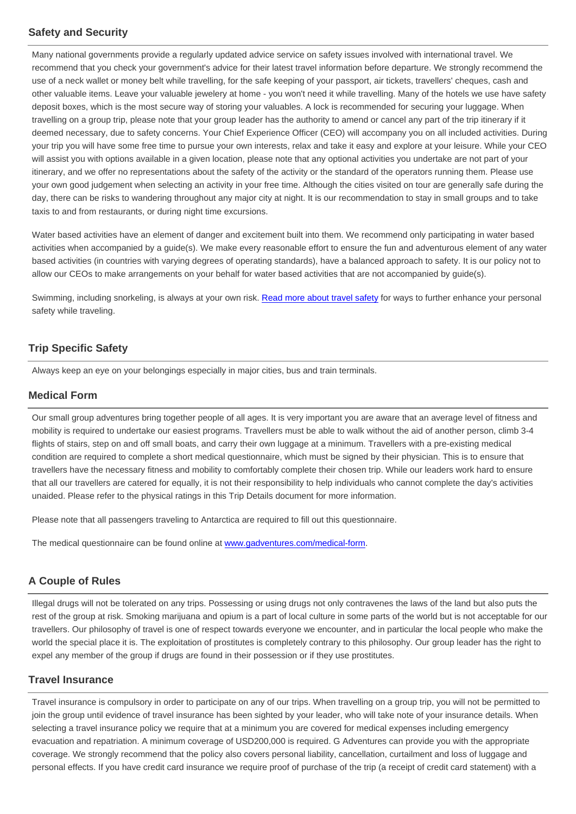# **Safety and Security**

Many national governments provide a regularly updated advice service on safety issues involved with international travel. We recommend that you check your government's advice for their latest travel information before departure. We strongly recommend the use of a neck wallet or money belt while travelling, for the safe keeping of your passport, air tickets, travellers' cheques, cash and other valuable items. Leave your valuable jewelery at home - you won't need it while travelling. Many of the hotels we use have safety deposit boxes, which is the most secure way of storing your valuables. A lock is recommended for securing your luggage. When travelling on a group trip, please note that your group leader has the authority to amend or cancel any part of the trip itinerary if it deemed necessary, due to safety concerns. Your Chief Experience Officer (CEO) will accompany you on all included activities. During your trip you will have some free time to pursue your own interests, relax and take it easy and explore at your leisure. While your CEO will assist you with options available in a given location, please note that any optional activities you undertake are not part of your itinerary, and we offer no representations about the safety of the activity or the standard of the operators running them. Please use your own good judgement when selecting an activity in your free time. Although the cities visited on tour are generally safe during the day, there can be risks to wandering throughout any major city at night. It is our recommendation to stay in small groups and to take taxis to and from restaurants, or during night time excursions.

Water based activities have an element of danger and excitement built into them. We recommend only participating in water based activities when accompanied by a guide(s). We make every reasonable effort to ensure the fun and adventurous element of any water based activities (in countries with varying degrees of operating standards), have a balanced approach to safety. It is our policy not to allow our CEOs to make arrangements on your behalf for water based activities that are not accompanied by guide(s).

Swimming, including snorkeling, is always at your own risk. Read more about travel safety for ways to further enhance your personal safety while traveling.

# **Trip Specific Safety**

Always keep an eye on your belongings especially in major cities, bus and train terminals.

## **Medical Form**

Our small group adventures bring together people of all ages. It is very important you are aware that an average level of fitness and mobility is required to undertake our easiest programs. Travellers must be able to walk without the aid of another person, climb 3-4 flights of stairs, step on and off small boats, and carry their own luggage at a minimum. Travellers with a pre-existing medical condition are required to complete a short medical questionnaire, which must be signed by their physician. This is to ensure that travellers have the necessary fitness and mobility to comfortably complete their chosen trip. While our leaders work hard to ensure that all our travellers are catered for equally, it is not their responsibility to help individuals who cannot complete the day's activities unaided. Please refer to the physical ratings in this Trip Details document for more information.

Please note that all passengers traveling to Antarctica are required to fill out this questionnaire.

The medical questionnaire can be found online at [www.gadventures.com/medical-form.](http://www.gadventures.com/medical-form)

# **A Couple of Rules**

Illegal drugs will not be tolerated on any trips. Possessing or using drugs not only contravenes the laws of the land but also puts the rest of the group at risk. Smoking marijuana and opium is a part of local culture in some parts of the world but is not acceptable for our travellers. Our philosophy of travel is one of respect towards everyone we encounter, and in particular the local people who make the world the special place it is. The exploitation of prostitutes is completely contrary to this philosophy. Our group leader has the right to expel any member of the group if drugs are found in their possession or if they use prostitutes.

# **Travel Insurance**

Travel insurance is compulsory in order to participate on any of our trips. When travelling on a group trip, you will not be permitted to join the group until evidence of travel insurance has been sighted by your leader, who will take note of your insurance details. When selecting a travel insurance policy we require that at a minimum you are covered for medical expenses including emergency evacuation and repatriation. A minimum coverage of USD200,000 is required. G Adventures can provide you with the appropriate coverage. We strongly recommend that the policy also covers personal liability, cancellation, curtailment and loss of luggage and personal effects. If you have credit card insurance we require proof of purchase of the trip (a receipt of credit card statement) with a